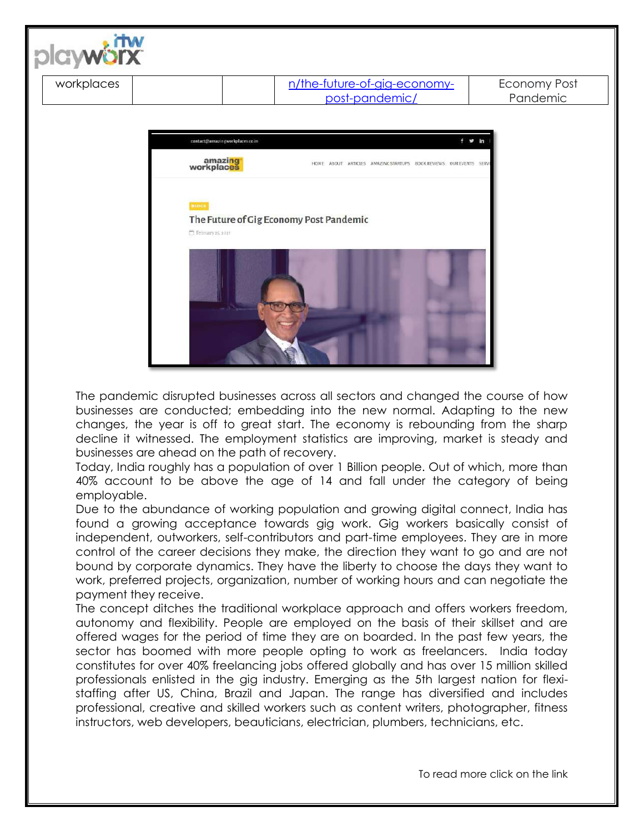

The pandemic disrupted businesses across all sectors and changed the course of how businesses are conducted; embedding into the new normal. Adapting to the new changes, the year is off to great start. The economy is rebounding from the sharp decline it witnessed. The employment statistics are improving, market is steady and businesses are ahead on the path of recovery.

Today, India roughly has a population of over 1 Billion people. Out of which, more than 40% account to be above the age of 14 and fall under the category of being employable.

Due to the abundance of working population and growing digital connect, India has found a growing acceptance towards gig work. Gig workers basically consist of independent, outworkers, self-contributors and part-time employees. They are in more control of the career decisions they make, the direction they want to go and are not bound by corporate dynamics. They have the liberty to choose the days they want to work, preferred projects, organization, number of working hours and can negotiate the payment they receive.

The concept ditches the traditional workplace approach and offers workers freedom, autonomy and flexibility. People are employed on the basis of their skillset and are offered wages for the period of time they are on boarded. In the past few years, the sector has boomed with more people opting to work as freelancers. India today constitutes for over 40% freelancing jobs offered globally and has over 15 million skilled professionals enlisted in the gig industry. Emerging as the 5th largest nation for flexistaffing after US, China, Brazil and Japan. The range has diversified and includes professional, creative and skilled workers such as content writers, photographer, fitness instructors, web developers, beauticians, electrician, plumbers, technicians, etc.

To read more click on the link